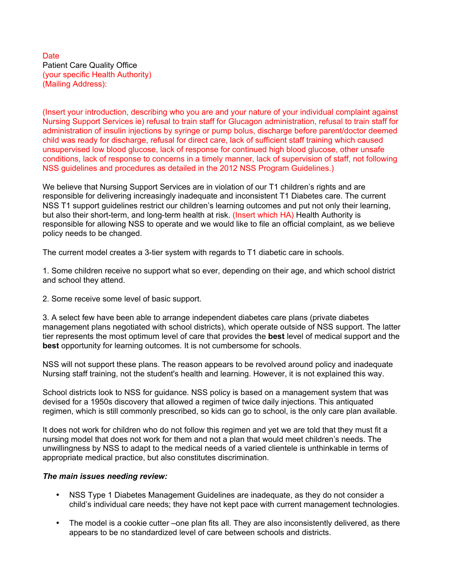## Date Patient Care Quality Office (your specific Health Authority) (Mailing Address):

(Insert your introduction, describing who you are and your nature of your individual complaint against Nursing Support Services ie) refusal to train staff for Glucagon administration, refusal to train staff for administration of insulin injections by syringe or pump bolus, discharge before parent/doctor deemed child was ready for discharge, refusal for direct care, lack of sufficient staff training which caused unsupervised low blood glucose, lack of response for continued high blood glucose, other unsafe conditions, lack of response to concerns in a timely manner, lack of supervision of staff, not following NSS guidelines and procedures as detailed in the 2012 NSS Program Guidelines.)

We believe that Nursing Support Services are in violation of our T1 children's rights and are responsible for delivering increasingly inadequate and inconsistent T1 Diabetes care. The current NSS T1 support guidelines restrict our children's learning outcomes and put not only their learning, but also their short-term, and long-term health at risk. (Insert which HA) Health Authority is responsible for allowing NSS to operate and we would like to file an official complaint, as we believe policy needs to be changed.

The current model creates a 3-tier system with regards to T1 diabetic care in schools.

1. Some children receive no support what so ever, depending on their age, and which school district and school they attend.

2. Some receive some level of basic support.

3. A select few have been able to arrange independent diabetes care plans (private diabetes management plans negotiated with school districts), which operate outside of NSS support. The latter tier represents the most optimum level of care that provides the **best** level of medical support and the **best** opportunity for learning outcomes. It is not cumbersome for schools.

NSS will not support these plans. The reason appears to be revolved around policy and inadequate Nursing staff training, not the student's health and learning. However, it is not explained this way.

School districts look to NSS for guidance. NSS policy is based on a management system that was devised for a 1950s discovery that allowed a regimen of twice daily injections. This antiquated regimen, which is still commonly prescribed, so kids can go to school, is the only care plan available.

It does not work for children who do not follow this regimen and yet we are told that they must fit a nursing model that does not work for them and not a plan that would meet children's needs. The unwillingness by NSS to adapt to the medical needs of a varied clientele is unthinkable in terms of appropriate medical practice, but also constitutes discrimination.

## *The main issues needing review:*

- NSS Type 1 Diabetes Management Guidelines are inadequate, as they do not consider a child's individual care needs; they have not kept pace with current management technologies.
- The model is a cookie cutter –one plan fits all. They are also inconsistently delivered, as there appears to be no standardized level of care between schools and districts.